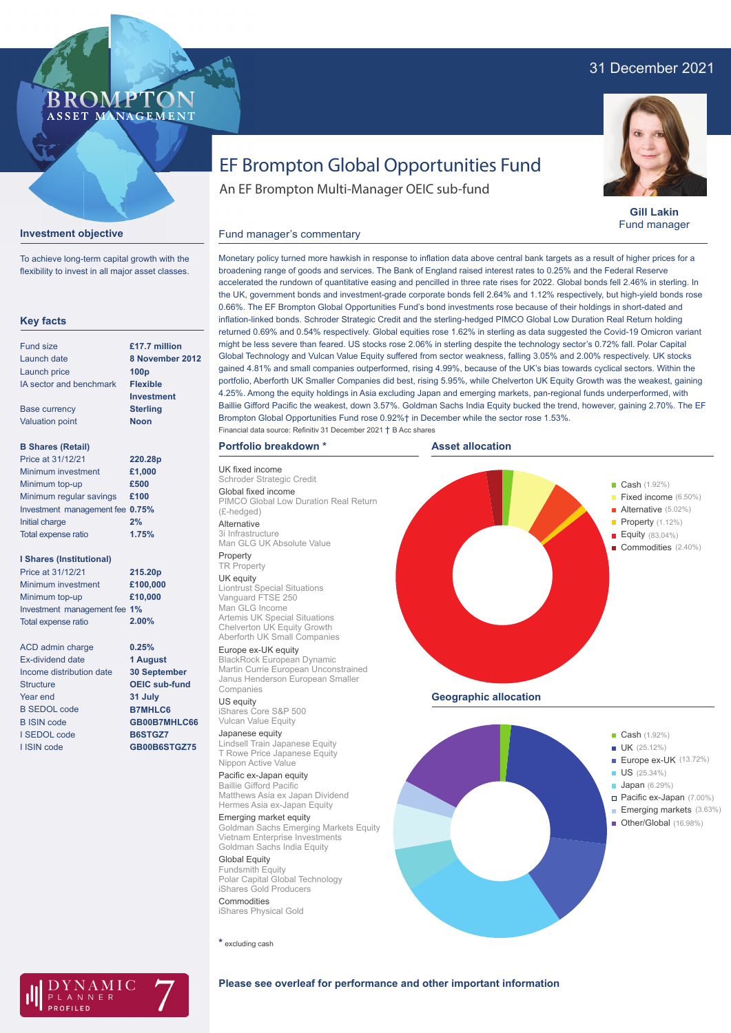# 31 December 2021



**Gill Lakin** Fund manager

# EF Brompton Global Opportunities Fund

An EF Brompton Multi-Manager OEIC sub-fund

## **Investment objective**

BROMP

ASSET MANAGEMENT

To achieve long-term capital growth with the flexibility to invest in all major asset classes.

#### **Key facts**

| Fund size                | £17.7 million     |
|--------------------------|-------------------|
| Launch date              | 8 November 2012   |
| Launch price             | 100 <sub>p</sub>  |
| IA sector and benchmark  | <b>Flexible</b>   |
|                          | <b>Investment</b> |
| <b>Base currency</b>     | <b>Sterling</b>   |
| <b>Valuation point</b>   | <b>Noon</b>       |
|                          |                   |
| <b>B Shares (Retail)</b> |                   |
| Price at 31/12/21        | 220.28p           |
|                          |                   |

| 1 1100 QI J 17 1474 1           | ZZU.ZOD |
|---------------------------------|---------|
| Minimum investment              | £1,000  |
| Minimum top-up                  | £500    |
| Minimum regular savings         | £100    |
| Investment management fee 0.75% |         |
| Initial charge                  | 2%      |
| Total expense ratio             | 1.75%   |

#### **I Shares (Institutional)**

| Price at 31/12/21            | 215.20p  |
|------------------------------|----------|
| Minimum investment           | £100,000 |
| Minimum top-up               | £10,000  |
| Investment management fee 1% |          |
| Total expense ratio          | 2.00%    |

ACD admin charge Ex-dividend date Income distribution date **Structure** Year end B SEDOL code B ISIN code I SEDOL code I ISIN code **0.25% 1 August 30 September OEIC sub-fund 31 July B7MHLC6 GB00B7MHLC66 B6STGZ7 GB00B6STGZ75**

### Monetary policy turned more hawkish in response to inflation data above central bank targets as a result of higher prices for a broadening range of goods and services. The Bank of England raised interest rates to 0.25% and the Federal Reserve accelerated the rundown of quantitative easing and pencilled in three rate rises for 2022. Global bonds fell 2.46% in sterling. In the UK, government bonds and investment-grade corporate bonds fell 2.64% and 1.12% respectively, but high-yield bonds rose 0.66%. The EF Brompton Global Opportunities Fund's bond investments rose because of their holdings in short-dated and inflation-linked bonds. Schroder Strategic Credit and the sterling-hedged PIMCO Global Low Duration Real Return holding returned 0.69% and 0.54% respectively. Global equities rose 1.62% in sterling as data suggested the Covid-19 Omicron variant might be less severe than feared. US stocks rose 2.06% in sterling despite the technology sector's 0.72% fall. Polar Capital Global Technology and Vulcan Value Equity suffered from sector weakness, falling 3.05% and 2.00% respectively. UK stocks gained 4.81% and small companies outperformed, rising 4.99%, because of the UK's bias towards cyclical sectors. Within the portfolio, Aberforth UK Smaller Companies did best, rising 5.95%, while Chelverton UK Equity Growth was the weakest, gaining 4.25%. Among the equity holdings in Asia excluding Japan and emerging markets, pan-regional funds underperformed, with Baillie Gifford Pacific the weakest, down 3.57%. Goldman Sachs India Equity bucked the trend, however, gaining 2.70%. The EF Brompton Global Opportunities Fund rose 0.92%† in December while the sector rose 1.53%. Fund manager's commentary Financial data source: Refinitiv 31 December 2021 † B Acc shares

#### **Portfolio breakdown \***

UK fixed income Schroder Strategic Credit Global fixed income PIMCO Global Low Duration Real Return (£-hedged) Alternative

3i Infrastructure Man GLG UK Absolute Value Property

#### TR Property

UK equity Liontrust Special Situations Vanguard FTSE 250 Man GLG Income Artemis UK Special Situations Chelverton UK Equity Growth Aberforth UK Small Companies

### Europe ex-UK equity

BlackRock European Dynamic Martin Currie European Unconstrained Janus Henderson European Smaller Companies

#### US equity

iShares Core S&P 500 Vulcan Value Equity

#### Japanese equity

Lindsell Train Japanese Equity T Rowe Price Japanese Equity Nippon Active Value

## Pacific ex-Japan equity

Baillie Gifford Pacific Matthews Asia ex Japan Dividend Hermes Asia ex-Japan Equity

Emerging market equity Goldman Sachs Emerging Markets Equity Vietnam Enterprise Investments Goldman Sachs India Equity

Global Equity Fundsmith Equity Polar Capital Global Technology iShares Gold Producers **Commodities** 

iShares Physical Gold

**\*** excluding cash







#### **Please see overleaf for performance and other important information**